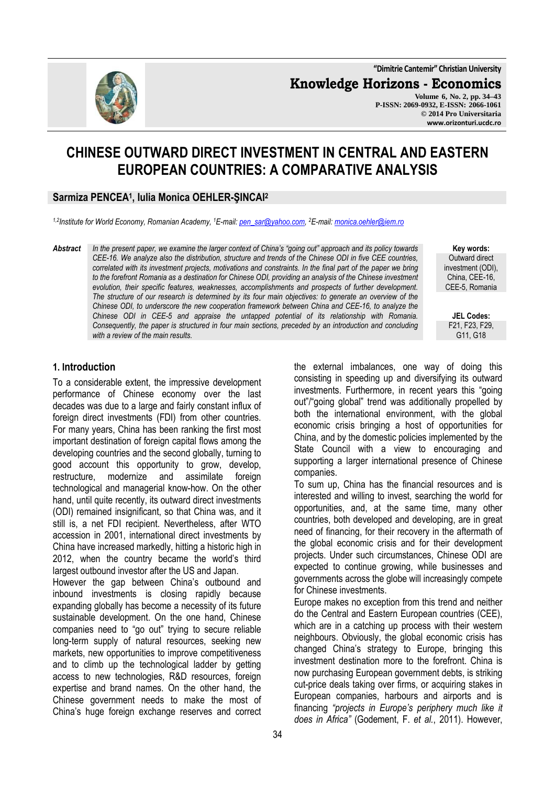**"Dimitrie Cantemir" Christian University**

**Knowledge Horizons - Economics**

**Volume 6, No. 2, pp. 34–43 P-ISSN: 2069-0932, E-ISSN: 2066-1061 © 2014 Pro Universitaria www.orizonturi.ucdc.ro**

# **CHINESE OUTWARD DIRECT INVESTMENT IN CENTRAL AND EASTERN EUROPEAN COUNTRIES: A COMPARATIVE ANALYSIS**

#### **Sarmiza PENCEA<sup>1</sup> , Iulia Monica OEHLER-ŞINCAI<sup>2</sup>**

*1,2Institute for World Economy, Romanian Academy, <sup>1</sup>E-mail: pen\_sar@yahoo.com, <sup>2</sup>E-mail: monica.oehler@iem.ro*

*Abstract In the present paper, we examine the larger context of China's "going out" approach and its policy towards CEE-16. We analyze also the distribution, structure and trends of the Chinese ODI in five CEE countries, correlated with its investment projects, motivations and constraints. In the final part of the paper we bring to the forefront Romania as a destination for Chinese ODI, providing an analysis of the Chinese investment evolution, their specific features, weaknesses, accomplishments and prospects of further development. The structure of our research is determined by its four main objectives: to generate an overview of the Chinese ODI, to underscore the new cooperation framework between China and CEE-16, to analyze the Chinese ODI in CEE-5 and appraise the untapped potential of its relationship with Romania. Consequently, the paper is structured in four main sections, preceded by an introduction and concluding with a review of the main results.* 

**Key words:** Outward direct investment (ODI), China, CEE-16, CEE-5, Romania

**JEL Codes:** F21, F23, F29, G11, G18

#### **1. Introduction**

To a considerable extent, the impressive development performance of Chinese economy over the last decades was due to a large and fairly constant influx of foreign direct investments (FDI) from other countries. For many years, China has been ranking the first most important destination of foreign capital flows among the developing countries and the second globally, turning to good account this opportunity to grow, develop, restructure, modernize and assimilate foreign technological and managerial know-how. On the other hand, until quite recently, its outward direct investments (ODI) remained insignificant, so that China was, and it still is, a net FDI recipient. Nevertheless, after WTO accession in 2001, international direct investments by China have increased markedly, hitting a historic high in 2012, when the country became the world's third largest outbound investor after the US and Japan. However the gap between China's outbound and

inbound investments is closing rapidly because expanding globally has become a necessity of its future sustainable development. On the one hand, Chinese companies need to "go out" trying to secure reliable long-term supply of natural resources, seeking new markets, new opportunities to improve competitiveness and to climb up the technological ladder by getting access to new technologies, R&D resources, foreign expertise and brand names. On the other hand, the Chinese government needs to make the most of China's huge foreign exchange reserves and correct the external imbalances, one way of doing this consisting in speeding up and diversifying its outward investments. Furthermore, in recent years this "going out"/"going global" trend was additionally propelled by both the international environment, with the global economic crisis bringing a host of opportunities for China, and by the domestic policies implemented by the State Council with a view to encouraging and supporting a larger international presence of Chinese companies.

To sum up, China has the financial resources and is interested and willing to invest, searching the world for opportunities, and, at the same time, many other countries, both developed and developing, are in great need of financing, for their recovery in the aftermath of the global economic crisis and for their development projects. Under such circumstances, Chinese ODI are expected to continue growing, while businesses and governments across the globe will increasingly compete for Chinese investments.

Europe makes no exception from this trend and neither do the Central and Eastern European countries (CEE), which are in a catching up process with their western neighbours. Obviously, the global economic crisis has changed China's strategy to Europe, bringing this investment destination more to the forefront. China is now purchasing European government debts, is striking cut-price deals taking over firms, or acquiring stakes in European companies, harbours and airports and is financing *"projects in Europe's periphery much like it does in Africa"* (Godement, F. *et al.*, 2011). However,

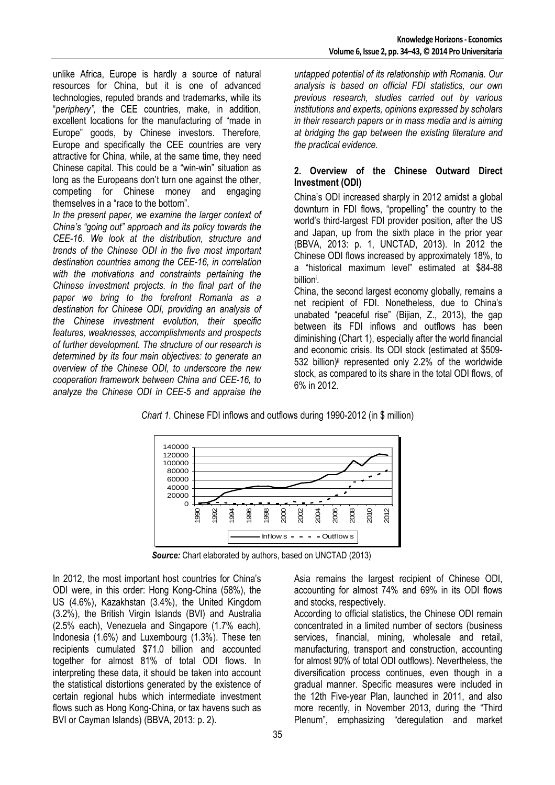unlike Africa, Europe is hardly a source of natural resources for China, but it is one of advanced technologies, reputed brands and trademarks, while its "*periphery",* the CEE countries, make, in addition, excellent locations for the manufacturing of "made in Europe" goods, by Chinese investors. Therefore, Europe and specifically the CEE countries are very attractive for China, while, at the same time, they need Chinese capital. This could be a "win-win" situation as long as the Europeans don't turn one against the other, competing for Chinese money and engaging themselves in a "race to the bottom".

*In the present paper, we examine the larger context of China's "going out" approach and its policy towards the CEE-16. We look at the distribution, structure and trends of the Chinese ODI in the five most important destination countries among the CEE-16, in correlation with the motivations and constraints pertaining the Chinese investment projects. In the final part of the paper we bring to the forefront Romania as a destination for Chinese ODI, providing an analysis of the Chinese investment evolution, their specific features, weaknesses, accomplishments and prospects of further development. The structure of our research is determined by its four main objectives: to generate an overview of the Chinese ODI, to underscore the new cooperation framework between China and CEE-16, to analyze the Chinese ODI in CEE-5 and appraise the* 

*untapped potential of its relationship with Romania. Our analysis is based on official FDI statistics, our own previous research, studies carried out by various institutions and experts, opinions expressed by scholars in their research papers or in mass media and is aiming at bridging the gap between the existing literature and the practical evidence.* 

#### **2. Overview of the Chinese Outward Direct Investment (ODI)**

China's ODI increased sharply in 2012 amidst a global downturn in FDI flows, "propelling" the country to the world's third-largest FDI provider position, after the US and Japan, up from the sixth place in the prior year (BBVA, 2013: p. 1, UNCTAD, 2013). In 2012 the Chinese ODI flows increased by approximately 18%, to a "historical maximum level" estimated at \$84-88 billion<sup>i</sup> .

China, the second largest economy globally, remains a net recipient of FDI. Nonetheless, due to China's unabated "peaceful rise" (Bijian, Z., 2013), the gap between its FDI inflows and outflows has been diminishing (Chart 1), especially after the world financial and economic crisis. Its ODI stock (estimated at \$509- 532 billion)<sup>ii</sup> represented only 2.2% of the worldwide stock, as compared to its share in the total ODI flows, of 6% in 2012.

*Chart 1.* Chinese FDI inflows and outflows during 1990-2012 (in \$ million)



 *Source:* Chart elaborated by authors, based on UNCTAD (2013)

In 2012, the most important host countries for China's ODI were, in this order: Hong Kong-China (58%), the US (4.6%), Kazakhstan (3.4%), the United Kingdom (3.2%), the British Virgin Islands (BVI) and Australia (2.5% each), Venezuela and Singapore (1.7% each), Indonesia (1.6%) and Luxembourg (1.3%). These ten recipients cumulated \$71.0 billion and accounted together for almost 81% of total ODI flows. In interpreting these data, it should be taken into account the statistical distortions generated by the existence of certain regional hubs which intermediate investment flows such as Hong Kong-China, or tax havens such as BVI or Cayman Islands) (BBVA, 2013: p. 2).

Asia remains the largest recipient of Chinese ODI, accounting for almost 74% and 69% in its ODI flows and stocks, respectively.

According to official statistics, the Chinese ODI remain concentrated in a limited number of sectors (business services, financial, mining, wholesale and retail, manufacturing, transport and construction, accounting for almost 90% of total ODI outflows). Nevertheless, the diversification process continues, even though in a gradual manner. Specific measures were included in the 12th Five-year Plan, launched in 2011, and also more recently, in November 2013, during the "Third Plenum", emphasizing "deregulation and market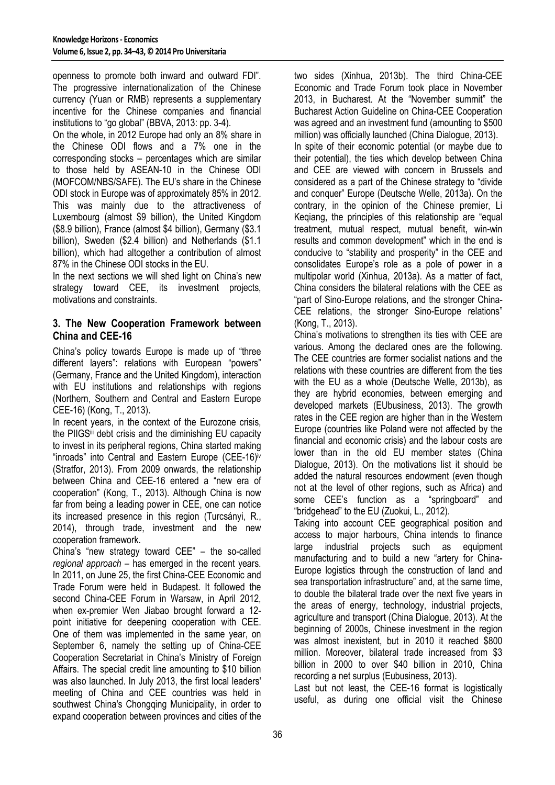openness to promote both inward and outward FDI". The progressive internationalization of the Chinese currency (Yuan or RMB) represents a supplementary incentive for the Chinese companies and financial institutions to "go global" (BBVA, 2013: pp. 3-4).

On the whole, in 2012 Europe had only an 8% share in the Chinese ODI flows and a 7% one in the corresponding stocks – percentages which are similar to those held by ASEAN-10 in the Chinese ODI (MOFCOM/NBS/SAFE). The EU's share in the Chinese ODI stock in Europe was of approximately 85% in 2012. This was mainly due to the attractiveness of Luxembourg (almost \$9 billion), the United Kingdom (\$8.9 billion), France (almost \$4 billion), Germany (\$3.1 billion), Sweden (\$2.4 billion) and Netherlands (\$1.1 billion), which had altogether a contribution of almost 87% in the Chinese ODI stocks in the EU.

In the next sections we will shed light on China's new strategy toward CEE, its investment projects, motivations and constraints.

### **3. The New Cooperation Framework between China and CEE-16**

China's policy towards Europe is made up of "three different layers": relations with European "powers" (Germany, France and the United Kingdom), interaction with EU institutions and relationships with regions (Northern, Southern and Central and Eastern Europe CEE-16) (Kong, T., 2013).

In recent years, in the context of the Eurozone crisis, the PIIGS<sup>iii</sup> debt crisis and the diminishing EU capacity to invest in its peripheral regions, China started making "inroads" into Central and Eastern Europe (CEE-16)iv (Stratfor, 2013). From 2009 onwards, the relationship between China and CEE-16 entered a "new era of cooperation" (Kong, T., 2013). Although China is now far from being a leading power in CEE, one can notice its increased presence in this region (Turcsányi, R., 2014), through trade, investment and the new cooperation framework.

China's "new strategy toward CEE" – the so-called *regional approach* – has emerged in the recent years. In 2011, on June 25, the first China-CEE Economic and Trade Forum were held in Budapest. It followed the second China-CEE Forum in Warsaw, in April 2012, when ex-premier Wen Jiabao brought forward a 12 point initiative for deepening cooperation with CEE. One of them was implemented in the same year, on September 6, namely the setting up of China-CEE Cooperation Secretariat in China's Ministry of Foreign Affairs. The special credit line amounting to \$10 billion was also launched. In July 2013, the first local leaders' meeting of China and CEE countries was held in southwest China's Chongqing Municipality, in order to expand cooperation between provinces and cities of the

two sides (Xinhua, 2013b). The third China-CEE Economic and Trade Forum took place in November 2013, in Bucharest. At the "November summit" the Bucharest Action Guideline on China-CEE Cooperation was agreed and an investment fund (amounting to \$500 million) was officially launched (China Dialogue, 2013). In spite of their economic potential (or maybe due to their potential), the ties which develop between China and CEE are viewed with concern in Brussels and considered as a part of the Chinese strategy to "divide and conquer" Europe (Deutsche Welle, 2013a). On the contrary, in the opinion of the Chinese premier, Li Keqiang, the principles of this relationship are "equal treatment, mutual respect, mutual benefit, win-win results and common development" which in the end is conducive to "stability and prosperity" in the CEE and consolidates Europe's role as a pole of power in a multipolar world (Xinhua, 2013a). As a matter of fact, China considers the bilateral relations with the CEE as "part of Sino-Europe relations, and the stronger China-CEE relations, the stronger Sino-Europe relations" (Kong, T., 2013).

China's motivations to strengthen its ties with CEE are various. Among the declared ones are the following. The CEE countries are former socialist nations and the relations with these countries are different from the ties with the EU as a whole (Deutsche Welle, 2013b), as they are hybrid economies, between emerging and developed markets (EUbusiness, 2013). The growth rates in the CEE region are higher than in the Western Europe (countries like Poland were not affected by the financial and economic crisis) and the labour costs are lower than in the old EU member states (China Dialogue, 2013). On the motivations list it should be added the natural resources endowment (even though not at the level of other regions, such as Africa) and some CEE's function as a "springboard" and "bridgehead" to the EU (Zuokui, L., 2012).

Taking into account CEE geographical position and access to major harbours, China intends to finance large industrial projects such as equipment manufacturing and to build a new "artery for China-Europe logistics through the construction of land and sea transportation infrastructure" and, at the same time, to double the bilateral trade over the next five years in the areas of energy, technology, industrial projects, agriculture and transport (China Dialogue, 2013). At the beginning of 2000s, Chinese investment in the region was almost inexistent, but in 2010 it reached \$800 million. Moreover, bilateral trade increased from \$3 billion in 2000 to over \$40 billion in 2010, China recording a net surplus (Eubusiness, 2013).

Last but not least, the CEE-16 format is logistically useful, as during one official visit the Chinese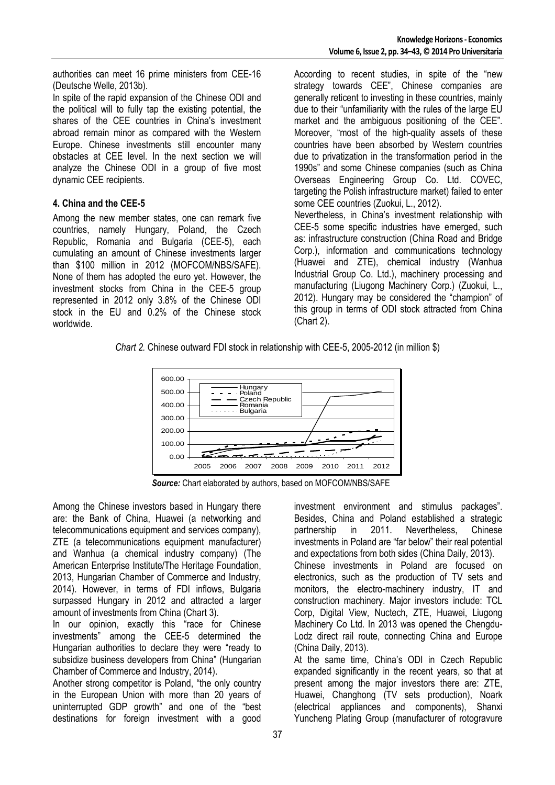authorities can meet 16 prime ministers from CEE-16 (Deutsche Welle, 2013b).

In spite of the rapid expansion of the Chinese ODI and the political will to fully tap the existing potential, the shares of the CEE countries in China's investment abroad remain minor as compared with the Western Europe. Chinese investments still encounter many obstacles at CEE level. In the next section we will analyze the Chinese ODI in a group of five most dynamic CEE recipients.

#### **4. China and the CEE-5**

Among the new member states, one can remark five countries, namely Hungary, Poland, the Czech Republic, Romania and Bulgaria (CEE-5), each cumulating an amount of Chinese investments larger than \$100 million in 2012 (MOFCOM/NBS/SAFE). None of them has adopted the euro yet. However, the investment stocks from China in the CEE-5 group represented in 2012 only 3.8% of the Chinese ODI stock in the EU and 0.2% of the Chinese stock worldwide.

According to recent studies, in spite of the "new strategy towards CEE", Chinese companies are generally reticent to investing in these countries, mainly due to their "unfamiliarity with the rules of the large EU market and the ambiguous positioning of the CEE". Moreover, "most of the high-quality assets of these countries have been absorbed by Western countries due to privatization in the transformation period in the 1990s" and some Chinese companies (such as China Overseas Engineering Group Co. Ltd. COVEC, targeting the Polish infrastructure market) failed to enter some CEE countries (Zuokui, L., 2012).

Nevertheless, in China's investment relationship with CEE-5 some specific industries have emerged, such as: infrastructure construction (China Road and Bridge Corp.), information and communications technology (Huawei and ZTE), chemical industry (Wanhua Industrial Group Co. Ltd.), machinery processing and manufacturing (Liugong Machinery Corp.) (Zuokui, L., 2012). Hungary may be considered the "champion" of this group in terms of ODI stock attracted from China (Chart 2).

*Chart 2.* Chinese outward FDI stock in relationship with CEE-5, 2005-2012 (in million \$)



 *Source:* Chart elaborated by authors, based on MOFCOM/NBS/SAFE

Among the Chinese investors based in Hungary there are: the Bank of China, Huawei (a networking and telecommunications equipment and services company), ZTE (a telecommunications equipment manufacturer) and Wanhua (a chemical industry company) (The American Enterprise Institute/The Heritage Foundation, 2013, Hungarian Chamber of Commerce and Industry, 2014). However, in terms of FDI inflows, Bulgaria surpassed Hungary in 2012 and attracted a larger amount of investments from China (Chart 3).

In our opinion, exactly this "race for Chinese investments" among the CEE-5 determined the Hungarian authorities to declare they were "ready to subsidize business developers from China" (Hungarian Chamber of Commerce and Industry, 2014).

Another strong competitor is Poland, "the only country in the European Union with more than 20 years of uninterrupted GDP growth" and one of the "best destinations for foreign investment with a good

investment environment and stimulus packages". Besides, China and Poland established a strategic partnership in 2011. Nevertheless, Chinese investments in Poland are "far below" their real potential and expectations from both sides (China Daily, 2013). Chinese investments in Poland are focused on electronics, such as the production of TV sets and monitors, the electro-machinery industry, IT and construction machinery. Major investors include: TCL Corp, Digital View, Nuctech, ZTE, Huawei, Liugong Machinery Co Ltd. In 2013 was opened the Chengdu-Lodz direct rail route, connecting China and Europe

(China Daily, 2013). At the same time, China's ODI in Czech Republic expanded significantly in the recent years, so that at present among the major investors there are: ZTE, Huawei, Changhong (TV sets production), Noark (electrical appliances and components), Shanxi Yuncheng Plating Group (manufacturer of rotogravure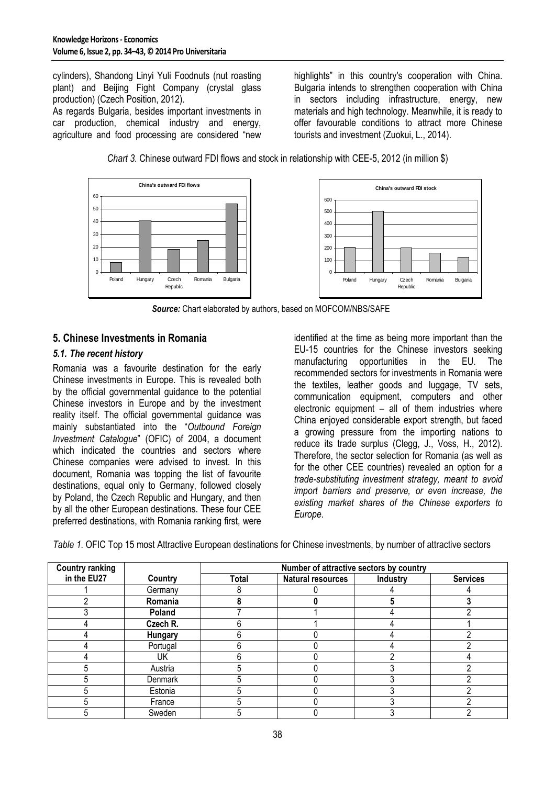cylinders), Shandong Linyi Yuli Foodnuts (nut roasting plant) and Beijing Fight Company (crystal glass production) (Czech Position, 2012).

As regards Bulgaria, besides important investments in car production, chemical industry and energy, agriculture and food processing are considered "new highlights" in this country's cooperation with China. Bulgaria intends to strengthen cooperation with China in sectors including infrastructure, energy, new materials and high technology. Meanwhile, it is ready to offer favourable conditions to attract more Chinese tourists and investment (Zuokui, L., 2014).

*Chart 3.* Chinese outward FDI flows and stock in relationship with CEE-5, 2012 (in million \$)



 *Source:* Chart elaborated by authors, based on MOFCOM/NBS/SAFE

#### **5. Chinese Investments in Romania**

#### *5.1. The recent history*

Romania was a favourite destination for the early Chinese investments in Europe. This is revealed both by the official governmental guidance to the potential Chinese investors in Europe and by the investment reality itself. The official governmental guidance was mainly substantiated into the "*Outbound Foreign Investment Catalogue*" (OFIC) of 2004, a document which indicated the countries and sectors where Chinese companies were advised to invest. In this document, Romania was topping the list of favourite destinations, equal only to Germany, followed closely by Poland, the Czech Republic and Hungary, and then by all the other European destinations. These four CEE preferred destinations, with Romania ranking first, were

identified at the time as being more important than the EU-15 countries for the Chinese investors seeking manufacturing opportunities in the EU. The recommended sectors for investments in Romania were the textiles, leather goods and luggage, TV sets, communication equipment, computers and other electronic equipment – all of them industries where China enjoyed considerable export strength, but faced a growing pressure from the importing nations to reduce its trade surplus (Clegg, J., Voss, H., 2012). Therefore, the sector selection for Romania (as well as for the other CEE countries) revealed an option for *a trade-substituting investment strategy, meant to avoid import barriers and preserve, or even increase, the existing market shares of the Chinese exporters to Europe*.

*Table 1.* OFIC Top 15 most Attractive European destinations for Chinese investments, by number of attractive sectors

| <b>Country ranking</b> |          | Number of attractive sectors by country |                          |          |                 |
|------------------------|----------|-----------------------------------------|--------------------------|----------|-----------------|
| in the EU27            | Country  | Total                                   | <b>Natural resources</b> | Industry | <b>Services</b> |
|                        | Germany  |                                         |                          |          |                 |
|                        | Romania  |                                         |                          |          |                 |
|                        | Poland   |                                         |                          |          |                 |
|                        | Czech R. |                                         |                          |          |                 |
|                        | Hungary  |                                         |                          |          |                 |
|                        | Portugal |                                         |                          |          |                 |
|                        | UK       |                                         |                          |          |                 |
|                        | Austria  |                                         |                          |          |                 |
|                        | Denmark  |                                         |                          |          |                 |
|                        | Estonia  |                                         |                          |          |                 |
|                        | France   |                                         |                          |          |                 |
|                        | Sweden   |                                         |                          |          |                 |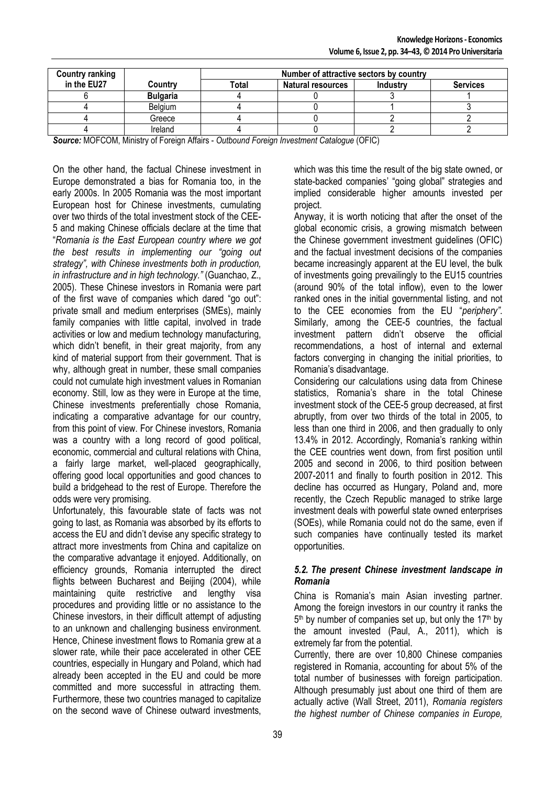| <b>Country ranking</b> |                 | Number of attractive sectors by country |                          |          |                 |
|------------------------|-----------------|-----------------------------------------|--------------------------|----------|-----------------|
| in the EU27            | Country         | Total                                   | <b>Natural resources</b> | Industry | <b>Services</b> |
|                        | <b>Bulgaria</b> |                                         |                          |          |                 |
|                        | Belaium         |                                         |                          |          |                 |
|                        | Greece          |                                         |                          |          |                 |
|                        | Ireland         |                                         |                          |          |                 |

*Source:* MOFCOM, Ministry of Foreign Affairs - *Outbound Foreign Investment Catalogue* (OFIC)

On the other hand, the factual Chinese investment in Europe demonstrated a bias for Romania too, in the early 2000s. In 2005 Romania was the most important European host for Chinese investments, cumulating over two thirds of the total investment stock of the CEE-5 and making Chinese officials declare at the time that "*Romania is the East European country where we got the best results in implementing our "going out strategy", with Chinese investments both in production, in infrastructure and in high technology."* (Guanchao, Z., 2005). These Chinese investors in Romania were part of the first wave of companies which dared "go out": private small and medium enterprises (SMEs), mainly family companies with little capital, involved in trade activities or low and medium technology manufacturing, which didn't benefit, in their great majority, from any kind of material support from their government. That is why, although great in number, these small companies could not cumulate high investment values in Romanian economy. Still, low as they were in Europe at the time, Chinese investments preferentially chose Romania, indicating a comparative advantage for our country, from this point of view. For Chinese investors, Romania was a country with a long record of good political, economic, commercial and cultural relations with China, a fairly large market, well-placed geographically, offering good local opportunities and good chances to build a bridgehead to the rest of Europe. Therefore the odds were very promising.

Unfortunately, this favourable state of facts was not going to last, as Romania was absorbed by its efforts to access the EU and didn't devise any specific strategy to attract more investments from China and capitalize on the comparative advantage it enjoyed. Additionally, on efficiency grounds, Romania interrupted the direct flights between Bucharest and Beijing (2004), while maintaining quite restrictive and lengthy visa procedures and providing little or no assistance to the Chinese investors, in their difficult attempt of adjusting to an unknown and challenging business environment. Hence, Chinese investment flows to Romania grew at a slower rate, while their pace accelerated in other CEE countries, especially in Hungary and Poland, which had already been accepted in the EU and could be more committed and more successful in attracting them. Furthermore, these two countries managed to capitalize on the second wave of Chinese outward investments,

which was this time the result of the big state owned, or state-backed companies' "going global" strategies and implied considerable higher amounts invested per project.

Anyway, it is worth noticing that after the onset of the global economic crisis, a growing mismatch between the Chinese government investment guidelines (OFIC) and the factual investment decisions of the companies became increasingly apparent at the EU level, the bulk of investments going prevailingly to the EU15 countries (around 90% of the total inflow), even to the lower ranked ones in the initial governmental listing, and not to the CEE economies from the EU "*periphery"*. Similarly, among the CEE-5 countries, the factual investment pattern didn't observe the official recommendations, a host of internal and external factors converging in changing the initial priorities, to Romania's disadvantage.

Considering our calculations using data from Chinese statistics, Romania's share in the total Chinese investment stock of the CEE-5 group decreased, at first abruptly, from over two thirds of the total in 2005, to less than one third in 2006, and then gradually to only 13.4% in 2012. Accordingly, Romania's ranking within the CEE countries went down, from first position until 2005 and second in 2006, to third position between 2007-2011 and finally to fourth position in 2012. This decline has occurred as Hungary, Poland and, more recently, the Czech Republic managed to strike large investment deals with powerful state owned enterprises (SOEs), while Romania could not do the same, even if such companies have continually tested its market opportunities.

#### *5.2. The present Chinese investment landscape in Romania*

China is Romania's main Asian investing partner. Among the foreign investors in our country it ranks the 5<sup>th</sup> by number of companies set up, but only the 17<sup>th</sup> by the amount invested (Paul, A., 2011), which is extremely far from the potential.

Currently, there are over 10,800 Chinese companies registered in Romania, accounting for about 5% of the total number of businesses with foreign participation. Although presumably just about one third of them are actually active (Wall Street, 2011), *Romania registers the highest number of Chinese companies in Europe,*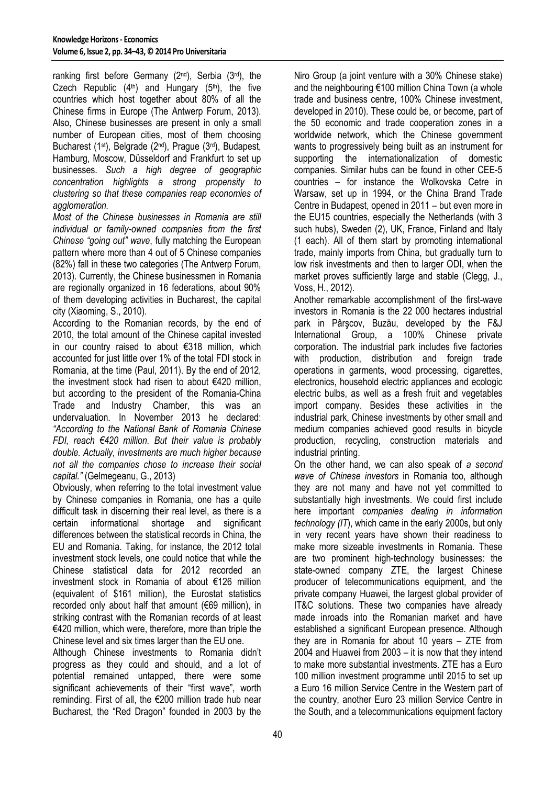ranking first before Germany (2nd), Serbia (3rd), the Czech Republic  $(4<sup>th</sup>)$  and Hungary  $(5<sup>th</sup>)$ , the five countries which host together about 80% of all the Chinese firms in Europe (The Antwerp Forum, 2013). Also, Chinese businesses are present in only a small number of European cities, most of them choosing Bucharest (1st), Belgrade (2nd), Prague (3rd), Budapest, Hamburg, Moscow, Düsseldorf and Frankfurt to set up businesses. *Such a high degree of geographic concentration highlights a strong propensity to clustering so that these companies reap economies of agglomeration.* 

*Most of the Chinese businesses in Romania are still individual or family-owned companies from the first Chinese "going out" wave*, fully matching the European pattern where more than 4 out of 5 Chinese companies (82%) fall in these two categories (The Antwerp Forum, 2013). Currently, the Chinese businessmen in Romania are regionally organized in 16 federations, about 90% of them developing activities in Bucharest, the capital city (Xiaoming, S., 2010).

According to the Romanian records, by the end of 2010, the total amount of the Chinese capital invested in our country raised to about €318 million, which accounted for just little over 1% of the total FDI stock in Romania, at the time (Paul, 2011). By the end of 2012, the investment stock had risen to about €420 million, but according to the president of the Romania-China Trade and Industry Chamber, this was an undervaluation. In November 2013 he declared: *"According to the National Bank of Romania Chinese FDI, reach €420 million. But their value is probably double. Actually, investments are much higher because not all the companies chose to increase their social capital."* (Gelmegeanu, G., 2013)

Obviously, when referring to the total investment value by Chinese companies in Romania, one has a quite difficult task in discerning their real level, as there is a certain informational shortage and significant differences between the statistical records in China, the EU and Romania. Taking, for instance, the 2012 total investment stock levels, one could notice that while the Chinese statistical data for 2012 recorded an investment stock in Romania of about €126 million (equivalent of \$161 million), the Eurostat statistics recorded only about half that amount (€69 million), in striking contrast with the Romanian records of at least €420 million, which were, therefore, more than triple the Chinese level and six times larger than the EU one.

Although Chinese investments to Romania didn't progress as they could and should, and a lot of potential remained untapped, there were some significant achievements of their "first wave", worth reminding. First of all, the €200 million trade hub near Bucharest, the "Red Dragon" founded in 2003 by the

Niro Group (a joint venture with a 30% Chinese stake) and the neighbouring €100 million China Town (a whole trade and business centre, 100% Chinese investment, developed in 2010). These could be, or become, part of the 50 economic and trade cooperation zones in a worldwide network, which the Chinese government wants to progressively being built as an instrument for supporting the internationalization of domestic companies. Similar hubs can be found in other CEE-5 countries – for instance the Wolkovska Cetre in Warsaw, set up in 1994, or the China Brand Trade Centre in Budapest, opened in 2011 – but even more in the EU15 countries, especially the Netherlands (with 3 such hubs), Sweden (2), UK, France, Finland and Italy (1 each). All of them start by promoting international trade, mainly imports from China, but gradually turn to low risk investments and then to larger ODI, when the market proves sufficiently large and stable (Clegg, J., Voss, H., 2012).

Another remarkable accomplishment of the first-wave investors in Romania is the 22 000 hectares industrial park in Pârşcov, Buzău, developed by the F&J International Group, a 100% Chinese private corporation. The industrial park includes five factories with production, distribution and foreign trade operations in garments, wood processing, cigarettes, electronics, household electric appliances and ecologic electric bulbs, as well as a fresh fruit and vegetables import company. Besides these activities in the industrial park, Chinese investments by other small and medium companies achieved good results in bicycle production, recycling, construction materials and industrial printing.

On the other hand, we can also speak of *a second wave of Chinese investors* in Romania too, although they are not many and have not yet committed to substantially high investments. We could first include here important *companies dealing in information technology (IT*), which came in the early 2000s, but only in very recent years have shown their readiness to make more sizeable investments in Romania. These are two prominent high-technology businesses: the state-owned company ZTE, the largest Chinese producer of telecommunications equipment, and the private company Huawei, the largest global provider of IT&C solutions. These two companies have already made inroads into the Romanian market and have established a significant European presence. Although they are in Romania for about 10 years – ZTE from 2004 and Huawei from 2003 – it is now that they intend to make more substantial investments. ZTE has a Euro 100 million investment programme until 2015 to set up a Euro 16 million Service Centre in the Western part of the country, another Euro 23 million Service Centre in the South, and a telecommunications equipment factory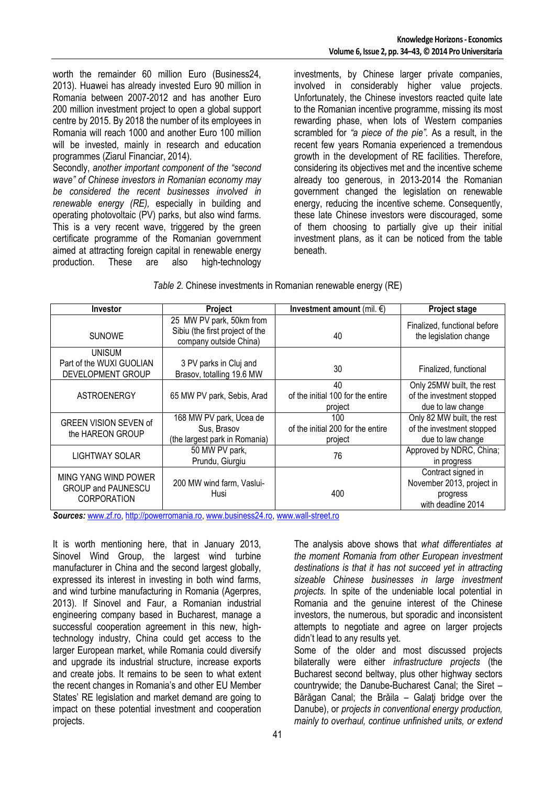worth the remainder 60 million Euro (Business24, 2013). Huawei has already invested Euro 90 million in Romania between 2007-2012 and has another Euro 200 million investment project to open a global support centre by 2015. By 2018 the number of its employees in Romania will reach 1000 and another Euro 100 million will be invested, mainly in research and education programmes (Ziarul Financiar, 2014).

Secondly, *another important component of the "second wave" of Chinese investors in Romanian economy may be considered the recent businesses involved in renewable energy (RE),* especially in building and operating photovoltaic (PV) parks, but also wind farms. This is a very recent wave, triggered by the green certificate programme of the Romanian government aimed at attracting foreign capital in renewable energy production. These are also high-technology

investments, by Chinese larger private companies, involved in considerably higher value projects. Unfortunately, the Chinese investors reacted quite late to the Romanian incentive programme, missing its most rewarding phase, when lots of Western companies scrambled for *"a piece of the pie".* As a result, in the recent few years Romania experienced a tremendous growth in the development of RE facilities. Therefore, considering its objectives met and the incentive scheme already too generous, in 2013-2014 the Romanian government changed the legislation on renewable energy, reducing the incentive scheme. Consequently, these late Chinese investors were discouraged, some of them choosing to partially give up their initial investment plans, as it can be noticed from the table beneath.

| Table 2. Chinese investments in Romanian renewable energy (RE) |  |  |  |  |  |
|----------------------------------------------------------------|--|--|--|--|--|
|----------------------------------------------------------------|--|--|--|--|--|

| <b>Investor</b>                                                         | Project                                                                               | Investment amount (mil. $\epsilon$ )                | <b>Project stage</b>                                                              |
|-------------------------------------------------------------------------|---------------------------------------------------------------------------------------|-----------------------------------------------------|-----------------------------------------------------------------------------------|
| <b>SUNOWE</b>                                                           | 25 MW PV park, 50km from<br>Sibiu (the first project of the<br>company outside China) | 40                                                  | Finalized, functional before<br>the legislation change                            |
| <b>UNISUM</b><br>Part of the WUXI GUOLIAN<br>DEVELOPMENT GROUP          | 3 PV parks in Cluj and<br>Brasov, totalling 19.6 MW                                   | 30                                                  | Finalized, functional                                                             |
| ASTROENERGY                                                             | 65 MW PV park, Sebis, Arad                                                            | 40<br>of the initial 100 for the entire<br>project  | Only 25MW built, the rest<br>of the investment stopped<br>due to law change       |
| <b>GREEN VISION SEVEN of</b><br>the HAREON GROUP                        | 168 MW PV park, Ucea de<br>Sus, Brasov<br>(the largest park in Romania)               | 100<br>of the initial 200 for the entire<br>project | Only 82 MW built, the rest<br>of the investment stopped<br>due to law change      |
| LIGHTWAY SOLAR                                                          | 50 MW PV park,<br>Prundu, Giurgiu                                                     | 76                                                  | Approved by NDRC, China;<br>in progress                                           |
| MING YANG WIND POWER<br><b>GROUP and PAUNESCU</b><br><b>CORPORATION</b> | 200 MW wind farm, Vaslui-<br>Husi                                                     | 400                                                 | Contract signed in<br>November 2013, project in<br>progress<br>with deadline 2014 |

*Sources:* www.zf.ro, http://powerromania.ro, www.business24.ro, www.wall-street.ro

It is worth mentioning here, that in January 2013, Sinovel Wind Group, the largest wind turbine manufacturer in China and the second largest globally, expressed its interest in investing in both wind farms, and wind turbine manufacturing in Romania (Agerpres, 2013). If Sinovel and Faur, a Romanian industrial engineering company based in Bucharest, manage a successful cooperation agreement in this new, hightechnology industry, China could get access to the larger European market, while Romania could diversify and upgrade its industrial structure, increase exports and create jobs. It remains to be seen to what extent the recent changes in Romania's and other EU Member States' RE legislation and market demand are going to impact on these potential investment and cooperation projects.

The analysis above shows that *what differentiates at the moment Romania from other European investment destinations is that it has not succeed yet in attracting sizeable Chinese businesses in large investment projects.* In spite of the undeniable local potential in Romania and the genuine interest of the Chinese investors, the numerous, but sporadic and inconsistent attempts to negotiate and agree on larger projects didn't lead to any results yet.

Some of the older and most discussed projects bilaterally were either *infrastructure projects* (the Bucharest second beltway, plus other highway sectors countrywide; the Danube-Bucharest Canal; the Siret – Bărăgan Canal; the Brăila – Galaţi bridge over the Danube), or *projects in conventional energy production, mainly to overhaul, continue unfinished units, or extend*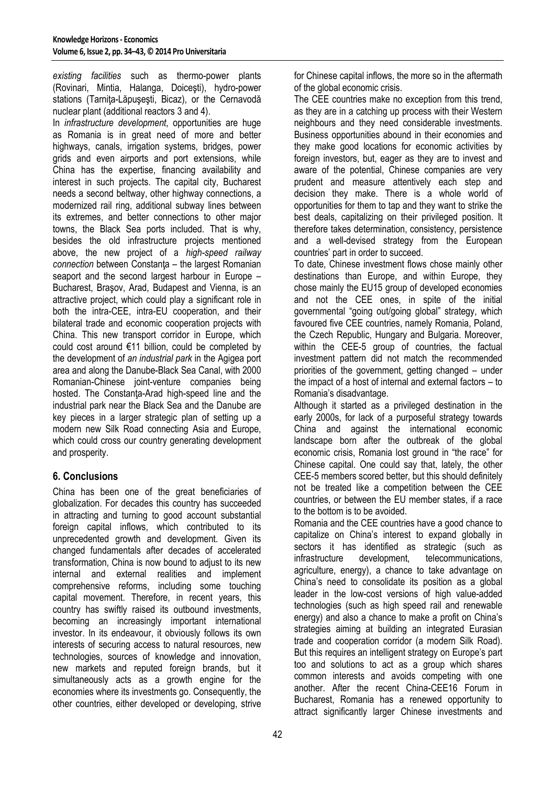*existing facilities* such as thermo-power plants (Rovinari, Mintia, Halanga, Doiceşti), hydro-power stations (Tarnita-Lăpusesti, Bicaz), or the Cernavodă nuclear plant (additional reactors 3 and 4).

In *infrastructure development*, opportunities are huge as Romania is in great need of more and better highways, canals, irrigation systems, bridges, power grids and even airports and port extensions, while China has the expertise, financing availability and interest in such projects. The capital city, Bucharest needs a second beltway, other highway connections, a modernized rail ring, additional subway lines between its extremes, and better connections to other major towns, the Black Sea ports included. That is why, besides the old infrastructure projects mentioned above, the new project of a *high-speed railway connection* between Constanta – the largest Romanian seaport and the second largest harbour in Europe – Bucharest, Braşov, Arad, Budapest and Vienna, is an attractive project, which could play a significant role in both the intra-CEE, intra-EU cooperation, and their bilateral trade and economic cooperation projects with China. This new transport corridor in Europe, which could cost around €11 billion, could be completed by the development of *an industrial park* in the Agigea port area and along the Danube-Black Sea Canal, with 2000 Romanian-Chinese joint-venture companies being hosted. The Constanta-Arad high-speed line and the industrial park near the Black Sea and the Danube are key pieces in a larger strategic plan of setting up a modern new Silk Road connecting Asia and Europe, which could cross our country generating development and prosperity.

# **6. Conclusions**

China has been one of the great beneficiaries of globalization. For decades this country has succeeded in attracting and turning to good account substantial foreign capital inflows, which contributed to its unprecedented growth and development. Given its changed fundamentals after decades of accelerated transformation, China is now bound to adjust to its new internal and external realities and implement comprehensive reforms, including some touching capital movement. Therefore, in recent years, this country has swiftly raised its outbound investments, becoming an increasingly important international investor. In its endeavour, it obviously follows its own interests of securing access to natural resources, new technologies, sources of knowledge and innovation, new markets and reputed foreign brands, but it simultaneously acts as a growth engine for the economies where its investments go. Consequently, the other countries, either developed or developing, strive

for Chinese capital inflows, the more so in the aftermath of the global economic crisis.

The CEE countries make no exception from this trend, as they are in a catching up process with their Western neighbours and they need considerable investments. Business opportunities abound in their economies and they make good locations for economic activities by foreign investors, but, eager as they are to invest and aware of the potential, Chinese companies are very prudent and measure attentively each step and decision they make. There is a whole world of opportunities for them to tap and they want to strike the best deals, capitalizing on their privileged position. It therefore takes determination, consistency, persistence and a well-devised strategy from the European countries' part in order to succeed.

To date, Chinese investment flows chose mainly other destinations than Europe, and within Europe, they chose mainly the EU15 group of developed economies and not the CEE ones, in spite of the initial governmental "going out/going global" strategy, which favoured five CEE countries, namely Romania, Poland, the Czech Republic, Hungary and Bulgaria. Moreover, within the CEE-5 group of countries, the factual investment pattern did not match the recommended priorities of the government, getting changed – under the impact of a host of internal and external factors – to Romania's disadvantage.

Although it started as a privileged destination in the early 2000s, for lack of a purposeful strategy towards China and against the international economic landscape born after the outbreak of the global economic crisis, Romania lost ground in "the race" for Chinese capital. One could say that, lately, the other CEE-5 members scored better, but this should definitely not be treated like a competition between the CEE countries, or between the EU member states, if a race to the bottom is to be avoided.

Romania and the CEE countries have a good chance to capitalize on China's interest to expand globally in sectors it has identified as strategic (such as infrastructure development, telecommunications, agriculture, energy), a chance to take advantage on China's need to consolidate its position as a global leader in the low-cost versions of high value-added technologies (such as high speed rail and renewable energy) and also a chance to make a profit on China's strategies aiming at building an integrated Eurasian trade and cooperation corridor (a modern Silk Road). But this requires an intelligent strategy on Europe's part too and solutions to act as a group which shares common interests and avoids competing with one another. After the recent China-CEE16 Forum in Bucharest, Romania has a renewed opportunity to attract significantly larger Chinese investments and